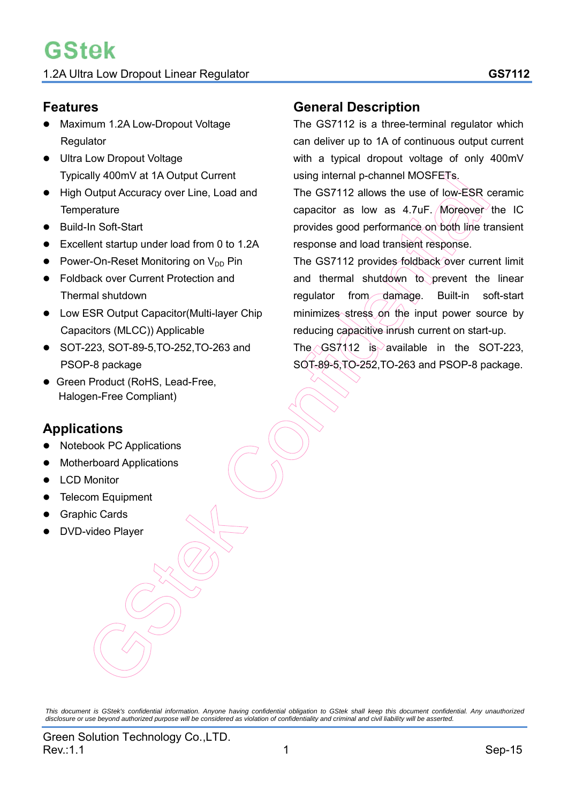## **Features**

- Maximum 1.2A Low-Dropout Voltage **Regulator**
- **Ultra Low Dropout Voltage** Typically 400mV at 1A Output Current
- High Output Accuracy over Line, Load and **Temperature**
- Build-In Soft-Start
- Excellent startup under load from 0 to 1.2A
- Power-On-Reset Monitoring on  $V_{DD}$  Pin
- Foldback over Current Protection and Thermal shutdown
- Low ESR Output Capacitor(Multi-layer Chip Capacitors (MLCC)) Applicable
- SOT-223, SOT-89-5,TO-252,TO-263 and PSOP-8 package
- **Green Product (RoHS, Lead-Free,** Halogen-Free Compliant)

# **Applications**

- Notebook PC Applications
- Motherboard Applications
- LCD Monitor
- Telecom Equipment
- Graphic Cards
- DVD-video Player

## **General Description**

The GS7112 is a three-terminal regulator which can deliver up to 1A of continuous output current with a typical dropout voltage of only 400mV using internal p-channel MOSFETs.

The GS7112 allows the use of low-ESR ceramic capacitor as low as  $4.7 \text{uF}$ . Moreover the IC provides good performance on both line transient response and load transient response.

The GS7112 provides foldback over current limit and thermal shutdown to prevent the linear regulator from damage. Built-in soft-start minimizes stress on the input power source by reducing capacitive inrush current on start-up.

The  $\sim$  GS7112 is available in the SOT-223. SOT-89-5,TO-252,TO-263 and PSOP-8 package.

This document is GStek's confidential information. Anyone having confidential obligation to GStek shall keep this document confidential. Any unauthorized<br>disclosure or use beyond authorized purpose will be considered as vi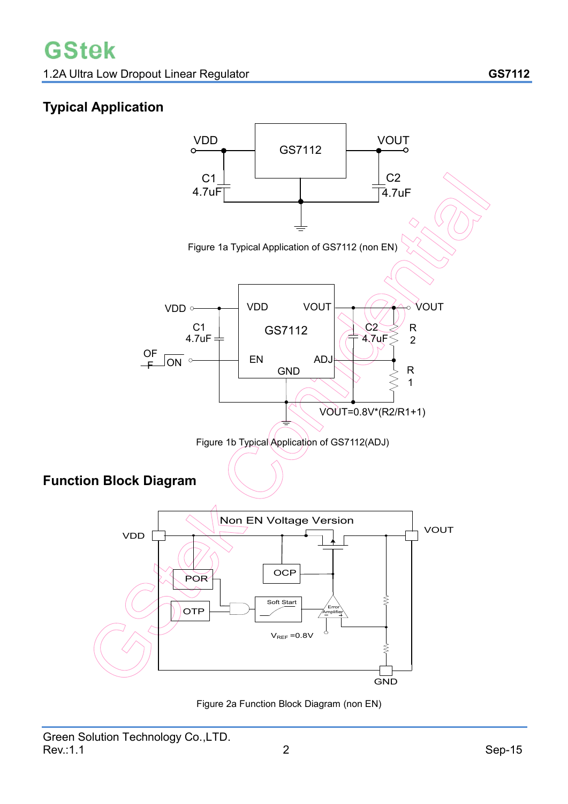# **Typical Application**



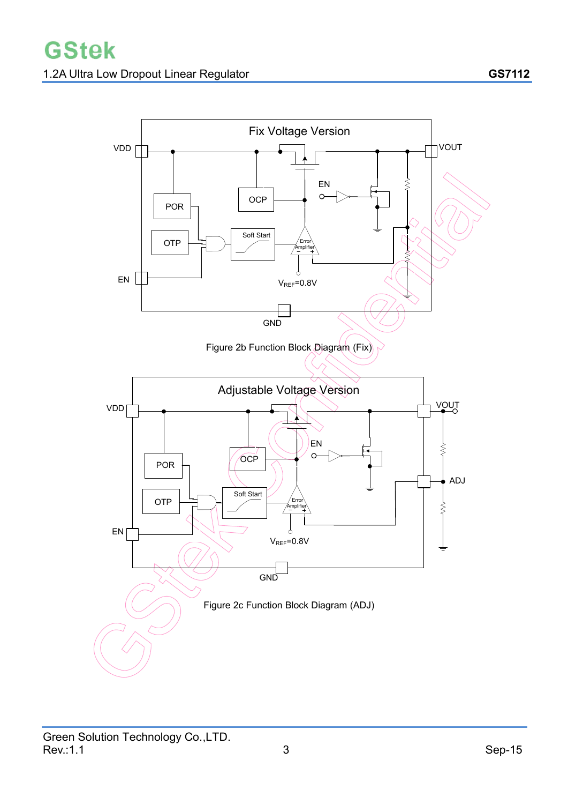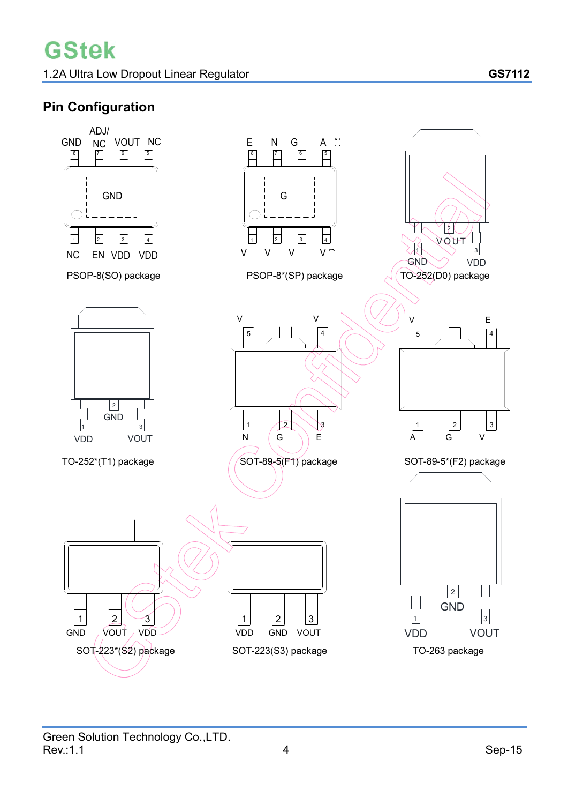# **Pin Configuration**

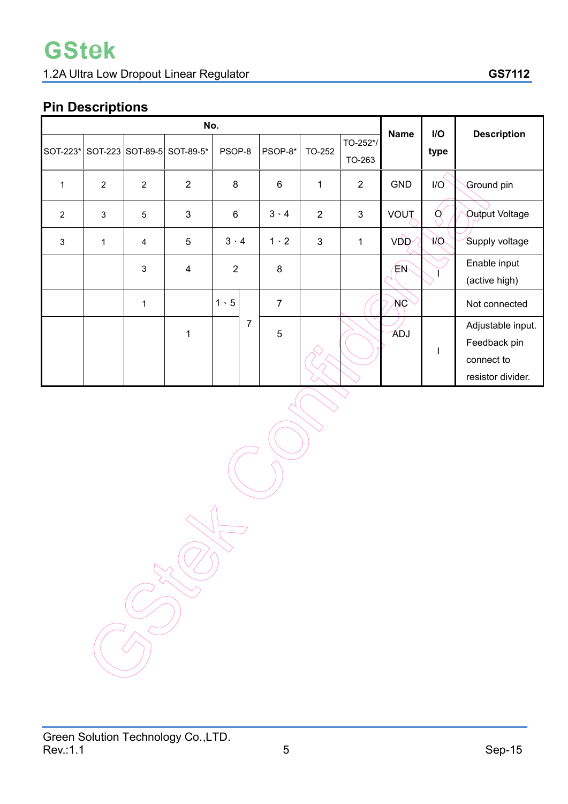# **Pin Descriptions**

| No.            |                |                |                            |                |                |              | <b>Name</b>    | I/O         | <b>Description</b> |                   |
|----------------|----------------|----------------|----------------------------|----------------|----------------|--------------|----------------|-------------|--------------------|-------------------|
| SOT-223*       |                |                | SOT-223 SOT-89-5 SOT-89-5* | PSOP-8         | PSOP-8*        | TO-252       | TO-252*/       |             | type               |                   |
|                |                |                |                            |                |                |              | TO-263         |             |                    |                   |
| 1              | $\overline{2}$ | $\overline{2}$ | $\overline{2}$             | 8              | $\,6$          | 1            | $\overline{2}$ | <b>GND</b>  | I/O                | Ground pin        |
| $\overline{2}$ | 3              | 5              | 3                          | $6\phantom{1}$ | $3 \cdot 4$    | 2            | $\mathfrak{S}$ | <b>VOUT</b> | Q                  | Output Voltage    |
| $\sqrt{3}$     | $\mathbf 1$    | 4              | 5                          | $3 \cdot 4$    | $1 \cdot 2$    | $\mathbf{3}$ | 1              | <b>VDD</b>  | Юk                 | Supply voltage    |
|                |                | 3              | $\overline{\mathbf{4}}$    | $\overline{2}$ | 8              |              |                | ΈW          |                    | Enable input      |
|                |                |                |                            |                |                |              |                |             |                    | (active high)     |
|                |                | 1              |                            | $1 \cdot 5$    | $\overline{7}$ |              |                | ŅС          |                    | Not connected     |
|                |                |                | 1                          | 7              | 5              |              |                | ADJ         |                    | Adjustable input. |
|                |                |                |                            |                |                |              |                |             |                    | Feedback pin      |
|                |                |                |                            |                |                |              |                |             |                    | connect to        |
|                |                |                |                            |                |                |              |                |             |                    | resistor divider. |

Green Solution Technology Co.,LTD.  $\,$  Rev.:1.1  $\,$  Sep-15  $\,$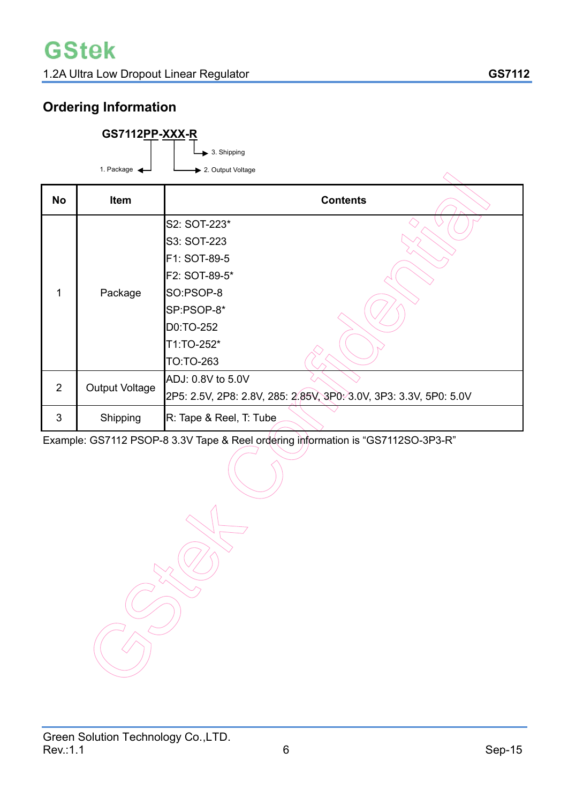# **Ordering Information**

| GS7112PP-XXX-R          |                                   |  |  |  |  |  |  |
|-------------------------|-----------------------------------|--|--|--|--|--|--|
|                         | $\blacktriangleright$ 3. Shipping |  |  |  |  |  |  |
| 1. Package $\leftarrow$ | > 2. Output Voltage               |  |  |  |  |  |  |
|                         |                                   |  |  |  |  |  |  |

| <b>No</b> | <b>Item</b>           | <b>Contents</b>                                                   |
|-----------|-----------------------|-------------------------------------------------------------------|
|           |                       | S2: SOT-223*                                                      |
|           |                       | S3: SOT-223                                                       |
|           |                       | F1: SOT-89-5                                                      |
|           |                       | F2: SOT-89-5*                                                     |
| 1         | Package               | SO:PSOP-8                                                         |
|           |                       | SP:PSOP-8*                                                        |
|           |                       | D0:TO-252                                                         |
|           |                       | T1:TO-252*                                                        |
|           |                       | TO:TO-263                                                         |
| 2         |                       | ADJ: 0.8V to 5.0V                                                 |
|           | <b>Output Voltage</b> | 2P5: 2.5V, 2P8: 2.8V, 285: 2.85V, 3P0: 3.0V, 3P3: 3.3V, 5P0: 5.0V |
| 3         | Shipping              | R: Tape & Reel, T: Tube                                           |

Example: GS7112 PSOP-8 3.3V Tape & Reel ordering information is "GS7112SO-3P3-R"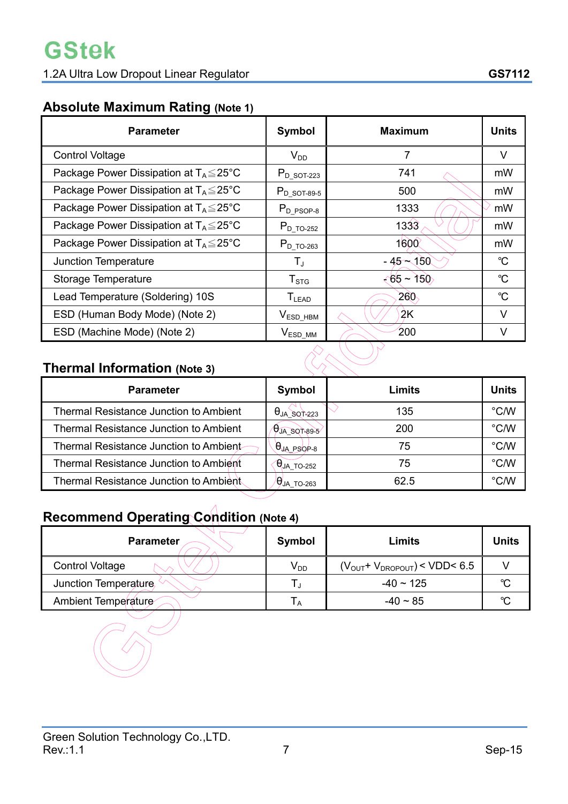# **Absolute Maximum Rating (Note 1)**

| <b>Parameter</b>                                    | Symbol                 | <b>Maximum</b>        | <b>Units</b>         |  |  |  |  |
|-----------------------------------------------------|------------------------|-----------------------|----------------------|--|--|--|--|
| <b>Control Voltage</b>                              | $V_{DD}$               | 7                     | V                    |  |  |  |  |
| Package Power Dissipation at $T_A \leq 25^{\circ}C$ | $P_{D}$ sot-223        | 741                   | mW                   |  |  |  |  |
| Package Power Dissipation at $T_A \leq 25^{\circ}C$ | $P_{D_8O T-89-5}$      | 500                   | mW                   |  |  |  |  |
| Package Power Dissipation at $T_A \leq 25^{\circ}C$ | $P_{D_PSOP-8}$         | 1333                  | mW                   |  |  |  |  |
| Package Power Dissipation at $T_A \leq 25^{\circ}C$ | $P_{D_TO-252}$         | 1333                  | mW                   |  |  |  |  |
| Package Power Dissipation at $T_A \leq 25^{\circ}C$ | $P_{D\_TO-263}$        | 1600                  | mW                   |  |  |  |  |
| <b>Junction Temperature</b>                         | $T_{\rm J}$            | $-45 - 150$           | $\mathrm{C}^{\circ}$ |  |  |  |  |
| Storage Temperature                                 | ${\sf T}_{\text{STG}}$ | $\leftarrow 65 - 150$ | $^{\circ}C$          |  |  |  |  |
| Lead Temperature (Soldering) 10S                    | $T_{LEAD}$             | 260                   | $^{\circ}C$          |  |  |  |  |
| ESD (Human Body Mode) (Note 2)                      | $V_{ESD\_HBM}$         | 2K                    | V                    |  |  |  |  |
| ESD (Machine Mode) (Note 2)                         | $V_{ESD\_MM}$          | 200                   | V                    |  |  |  |  |
| <b>Thermal Information (Note 3)</b>                 |                        |                       |                      |  |  |  |  |

# **Thermal Information (Note 3)**

| <b>Parameter</b>                              | Symbol               | Limits | <b>Units</b>  |
|-----------------------------------------------|----------------------|--------|---------------|
| <b>Thermal Resistance Junction to Ambient</b> | $\theta$ JA SQT-223  | 135    | °C/W          |
| <b>Thermal Resistance Junction to Ambient</b> | $\theta$ JA_SOT-89-5 | 200    | °C/W          |
| Thermal Resistance Junction to Ambient        | $\theta$ JA PSOP-8   | 75     | °C/W          |
| <b>Thermal Resistance Junction to Ambient</b> | $\Theta$ JA_TO-252   | 75     | °C/W          |
| Thermal Resistance Junction to Ambient        | $\theta$ JA TO-263   | 62.5   | $\degree$ C/W |

# **Recommend Operating Condition (Note 4)**

 $\begin{matrix} \sim \ \sim \ \sim \end{matrix}$ 

| <b>Parameter</b>       | Symbol   | Limits                        | Units  |
|------------------------|----------|-------------------------------|--------|
| <b>Control Voltage</b> | $V_{DD}$ | $(VOUT+VDROPOUT)$ < VDD < 6.5 |        |
| Junction Temperature,  |          | $-40 \sim 125$                | $\sim$ |
| Ambient Temperature    | IΑ       | $-40 \sim 85$                 | $\sim$ |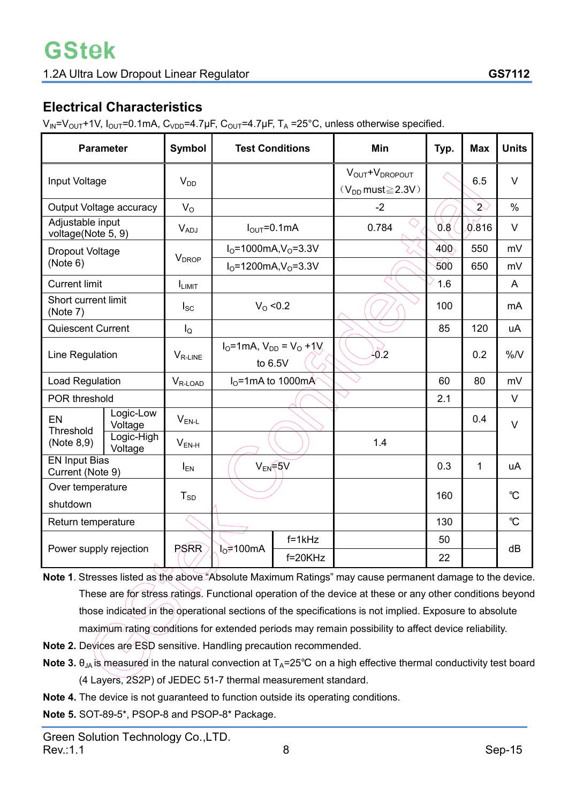# **Electrical Characteristics**

 $V_{IN} = V_{OUT} + 1V$ ,  $I_{OUT} = 0.1$ mA,  $C_{VDD} = 4.7 \mu F$ ,  $C_{OUT} = 4.7 \mu F$ ,  $T_A = 25^{\circ}C$ , unless otherwise specified.

| <b>Parameter</b>                         |                                        | <b>Symbol</b>                                | <b>Test Conditions</b>                           |                     | Min                                                                  | Typ. | <b>Max</b>    | <b>Units</b> |
|------------------------------------------|----------------------------------------|----------------------------------------------|--------------------------------------------------|---------------------|----------------------------------------------------------------------|------|---------------|--------------|
| Input Voltage                            |                                        | $V_{DD}$                                     |                                                  |                     | $V_{\text{OUT}} + V_{\text{DROPOUT}}$<br>$(V_{DD}$ must $\geq$ 2.3V) |      | 6.5           | $\vee$       |
| Output Voltage accuracy                  |                                        | $V_{O}$                                      |                                                  |                     | $-2$                                                                 |      | $\mathcal{L}$ | $\%$         |
|                                          | Adjustable input<br>voltage(Note 5, 9) |                                              | $I_{\text{OUT}}=0.1 \text{mA}$                   |                     | 0.784                                                                | 0.8  | 0.816         | $\vee$       |
| Dropout Voltage                          |                                        | <b>V</b> <sub>DROP</sub>                     | $IO=1000mA, VO=3.3V$                             |                     |                                                                      | 400  | 550           | mV           |
| (Note 6)                                 |                                        |                                              | $IO=1200mA, VO=3.3V$                             |                     |                                                                      | 500  | 650           | mV           |
| <b>Current limit</b>                     |                                        | I <sub>LIMIT</sub>                           |                                                  |                     |                                                                      | 1.6  |               | A            |
| Short current limit<br>(Note 7)          |                                        | $I_{SC}$                                     | $V_{\Omega}$ < 0.2                               |                     |                                                                      | 100  |               | <b>mA</b>    |
| <b>Quiescent Current</b>                 |                                        | $I_{\mathsf{Q}}$                             |                                                  |                     |                                                                      | 85   | 120           | uA           |
| Line Regulation                          |                                        | $V_{R-LINE}$                                 | $I_0$ =1mA, $V_{DD}$ = $V_0$ +1 $V_2$<br>to 6.5V |                     | 40.2                                                                 |      | 0.2           | %N           |
|                                          | Load Regulation                        |                                              |                                                  | $IO=1$ mA to 1000mÁ |                                                                      | 60   | 80            | mV           |
| POR threshold                            |                                        |                                              |                                                  |                     |                                                                      | 2.1  |               | $\vee$       |
| EN<br>Threshold                          | Logic-Low<br>Voltage                   | $\mathsf{V}_{\mathsf{EN}\text{-}\mathsf{L}}$ |                                                  |                     |                                                                      |      | 0.4           | $\vee$       |
| (Note 8,9)                               | Logic-High<br>Voltage                  | $V_{EN-H}$                                   |                                                  |                     | 1.4                                                                  |      |               |              |
| <b>EN Input Bias</b><br>Current (Note 9) |                                        | $I_{EN}$                                     | V <sub>EN</sub> F5V                              |                     |                                                                      | 0.3  | 1             | uA           |
| Over temperature                         |                                        | $T_{SD}$                                     |                                                  |                     |                                                                      | 160  |               | $\mathrm{C}$ |
| shutdown                                 |                                        |                                              |                                                  |                     |                                                                      |      |               |              |
| Return temperature                       |                                        |                                              |                                                  |                     |                                                                      | 130  |               | $\mathrm{C}$ |
|                                          |                                        | <b>PSRR</b>                                  | $f=1kHz$                                         |                     |                                                                      | 50   |               | dB           |
| Power supply rejection                   |                                        |                                              | $b = 100 \text{mA}$                              | $f=20KHz$           |                                                                      | 22   |               |              |

**Note 1**. Stresses listed as the above "Absolute Maximum Ratings" may cause permanent damage to the device. These are for stress ratings. Functional operation of the device at these or any other conditions beyond those indicated in the operational sections of the specifications is not implied. Exposure to absolute maximum rating conditions for extended periods may remain possibility to affect device reliability.

- **Note 2.** Devices are ESD sensitive. Handling precaution recommended.
- **Note 3.**  $\theta_{JA}$  is measured in the natural convection at  $T_A=25^\circ\text{C}$  on a high effective thermal conductivity test board (4 Layers, 2S2P) of JEDEC 51-7 thermal measurement standard.
- **Note 4.** The device is not guaranteed to function outside its operating conditions.

**Note 5.** SOT-89-5\*, PSOP-8 and PSOP-8\* Package.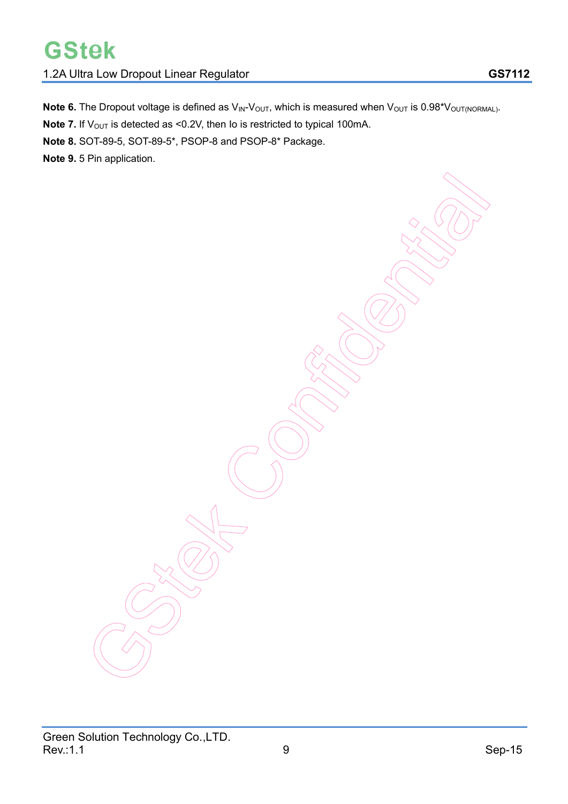# **GStek**

## 1.2A Ultra Low Dropout Linear Regulator **GS7112**

**Note 6.** The Dropout voltage is defined as  $V_{\text{IN}}-V_{\text{OUT}}$ , which is measured when  $V_{\text{OUT}}$  is 0.98\* $V_{\text{OUT(NORMAL)}}$ .

**Note 7.** If V<sub>OUT</sub> is detected as <0.2V, then Io is restricted to typical 100mA.

**Note 8.** SOT-89-5, SOT-89-5\*, PSOP-8 and PSOP-8\* Package.

**Note 9.** 5 Pin application.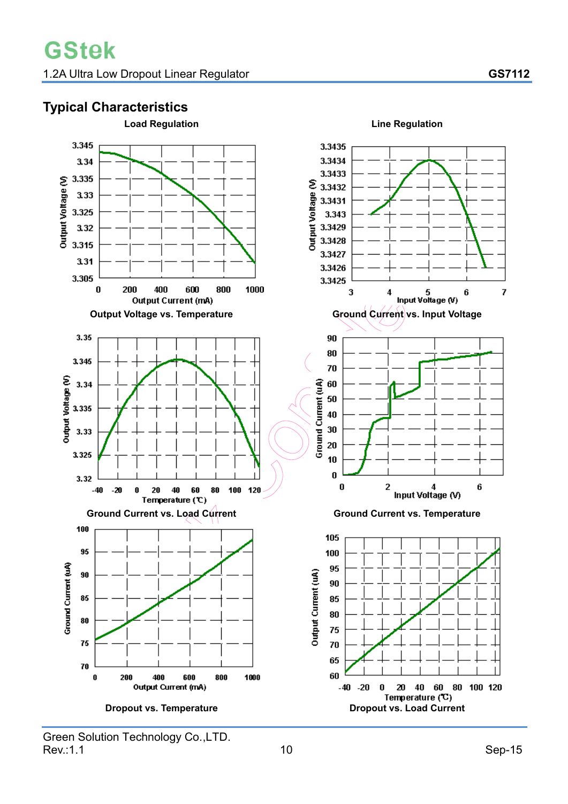# **Typical Characteristics**

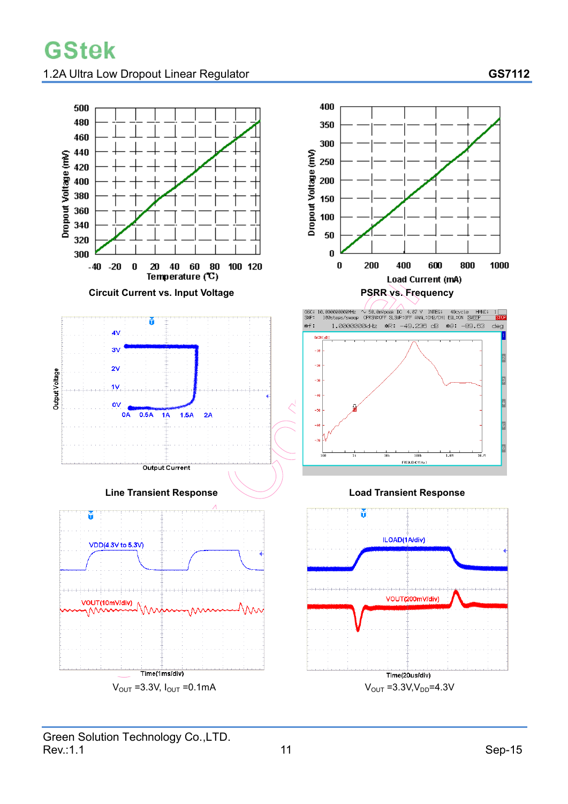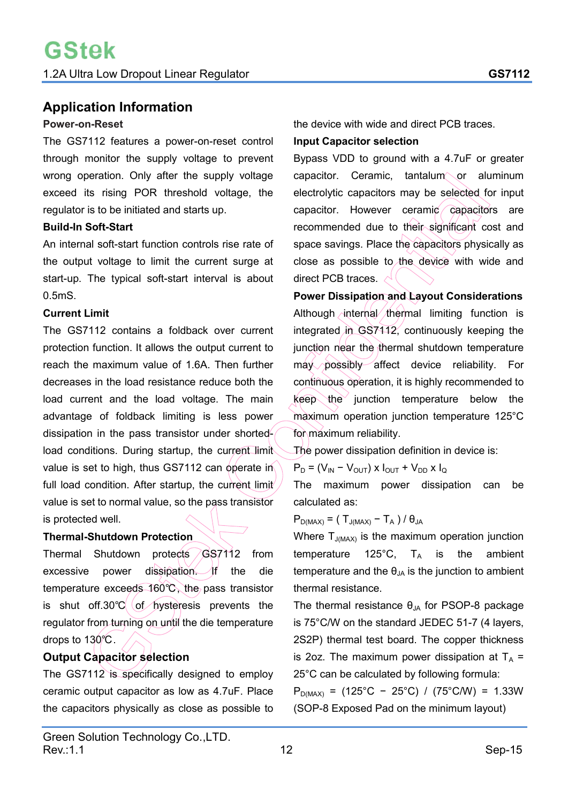## **Application Information**

#### **Power-on-Reset**

The GS7112 features a power-on-reset control through monitor the supply voltage to prevent wrong operation. Only after the supply voltage exceed its rising POR threshold voltage, the regulator is to be initiated and starts up.

#### **Build-In Soft-Start**

An internal soft-start function controls rise rate of the output voltage to limit the current surge at start-up. The typical soft-start interval is about 0.5mS.

#### **Current Limit**

The GS7112 contains a foldback over current protection function. It allows the output current to reach the maximum value of 1.6A. Then further decreases in the load resistance reduce both the load current and the load voltage. The main advantage of foldback limiting is less power dissipation in the pass transistor under shortedload conditions. During startup, the current limit value is set to high, thus GS7112 can operate in full load condition. After startup, the current limit value is set to normal value, so the pass transistor is protected well.

#### **Thermal-Shutdown Protection**

Thermal Shutdown protects GS7112 from excessive power dissipation. If the die temperature exceeds 160°C, the pass transistor is shut off.30 $\degree$ C of hysteresis prevents the regulator from turning on until the die temperature drops to 130°C.

## **Output Capacitor selection**

The GS7112 is specifically designed to employ ceramic output capacitor as low as 4.7uF. Place the capacitors physically as close as possible to the device with wide and direct PCB traces.

#### **Input Capacitor selection**

Bypass VDD to ground with a 4.7uF or greater capacitor. Ceramic.  $t$ antalum or aluminum electrolytic capacitors may be selected for input capacitor. However ceramic capacitors are recommended due to their significant cost and space savings. Place the capacitors physically as close as possible to the device with wide and direct PCB traces.  $\sim$ 

**Power Dissipation and Layout Considerations**  Although internal thermal limiting function is integrated in GS7112, continuously keeping the junction near the thermal shutdown temperature may possibly affect device reliability. For continuous operation, it is highly recommended to keep the junction temperature below the maximum operation junction temperature 125°C for maximum reliability.

The power dissipation definition in device is:

 $P_D = (V_{IN} - V_{OUT}) \times I_{OUT} + V_{DD} \times I_{Q}$ 

The maximum power dissipation can be calculated as:

 $P_{D(MAX)} = (T_{J(MAX)} - T_A) / \theta_{JA}$ 

Where  $T_{J(MAX)}$  is the maximum operation junction temperature 125 $^{\circ}$ C, T<sub>A</sub> is the ambient temperature and the  $\theta_{JA}$  is the junction to ambient thermal resistance.

The thermal resistance  $\theta_{JA}$  for PSOP-8 package is 75°C/W on the standard JEDEC 51-7 (4 layers, 2S2P) thermal test board. The copper thickness is 2oz. The maximum power dissipation at  $T_A$  = 25°C can be calculated by following formula:

 $P_{D(MAX)} = (125^{\circ}C - 25^{\circ}C) / (75^{\circ}C/W) = 1.33W$ (SOP-8 Exposed Pad on the minimum layout)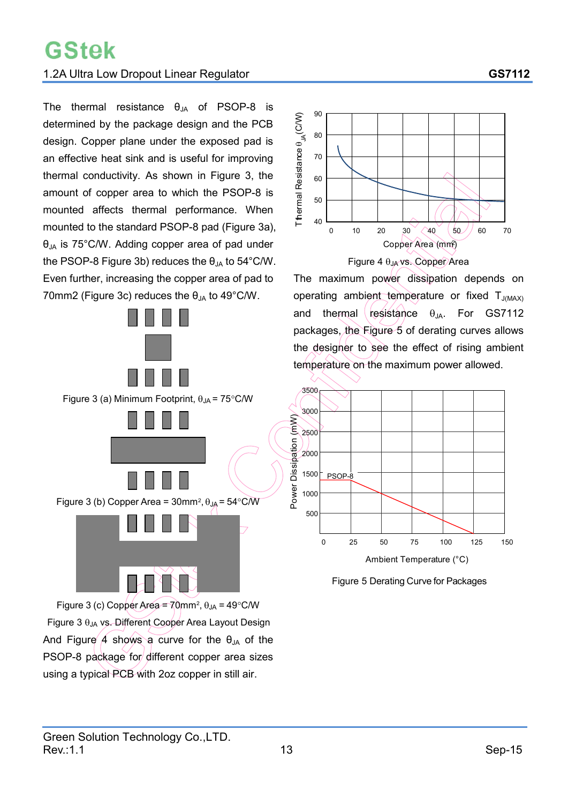## 1.2A Ultra Low Dropout Linear Regulator **GS7112**

The thermal resistance  $\theta_{JA}$  of PSOP-8 is determined by the package design and the PCB design. Copper plane under the exposed pad is an effective heat sink and is useful for improving thermal conductivity. As shown in Figure 3, the amount of copper area to which the PSOP-8 is mounted affects thermal performance. When mounted to the standard PSOP-8 pad (Figure 3a),  $\theta_{JA}$  is 75°C/W. Adding copper area of pad under the PSOP-8 Figure 3b) reduces the  $\theta_{JA}$  to 54°C/W. Even further, increasing the copper area of pad to 70mm2 (Figure 3c) reduces the  $\theta_{JA}$  to 49°C/W.



Figure 3 (c) Copper Area =  $70$ mm<sup>2</sup>,  $\theta$ <sub>JA</sub> = 49°C/W Figure 3  $\theta$ JA vs. Different Cooper Area Layout Design And Figure 4 shows a curve for the  $\theta_{JA}$  of the PSOP-8 package for different copper area sizes using a typical PCB with 2oz copper in still air.



The maximum power dissipation depends on operating ambient temperature or fixed  $T_{J(MAX)}$ and thermal resistance  $\theta_{JA}$ . For GS7112 packages, the Figure 5 of derating curves allows the designer to see the effect of rising ambient temperature on the maximum power allowed.



Figure 5 Derating Curve for Packages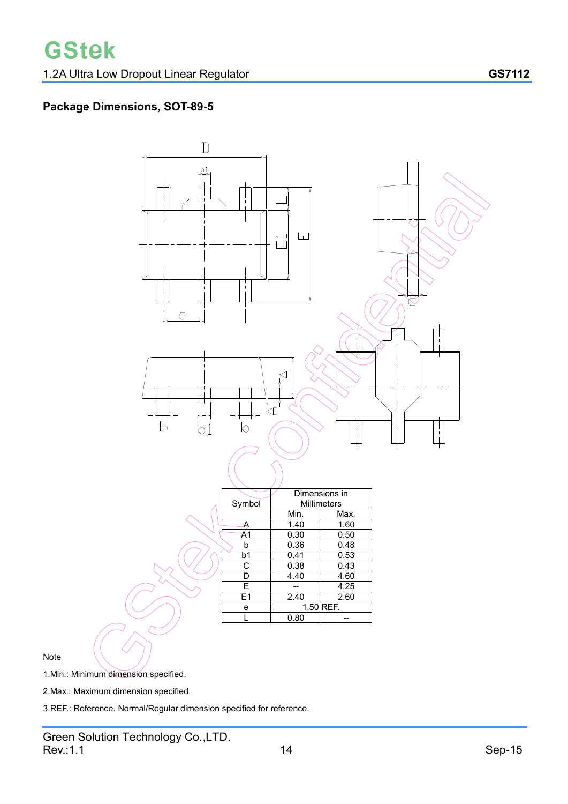# **Package Dimensions, SOT-89-5**



**Note** 

1.Min.: Minimum dimension specified.

2.Max.: Maximum dimension specified.

3.REF.: Reference. Normal/Regular dimension specified for reference.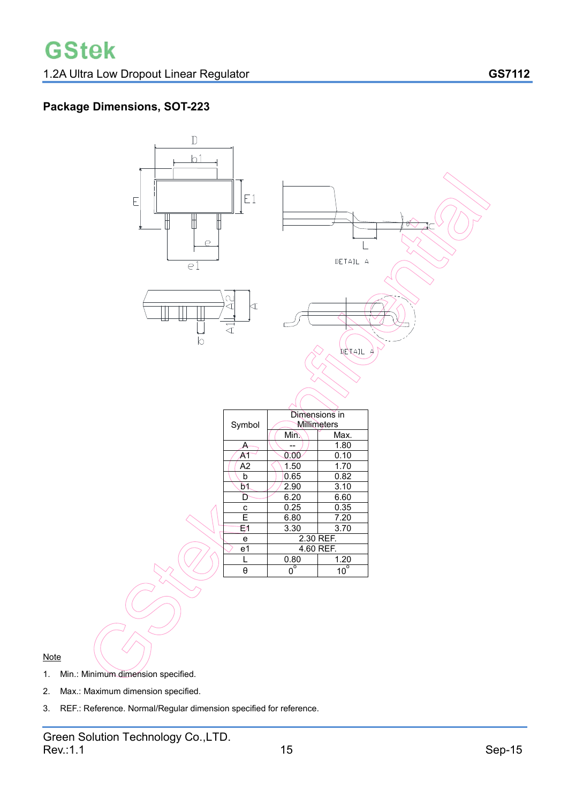## **Package Dimensions, SOT-223**



- 1. Min.: Minimum dimension specified.
- 2. Max.: Maximum dimension specified.
- 3. REF.: Reference. Normal/Regular dimension specified for reference.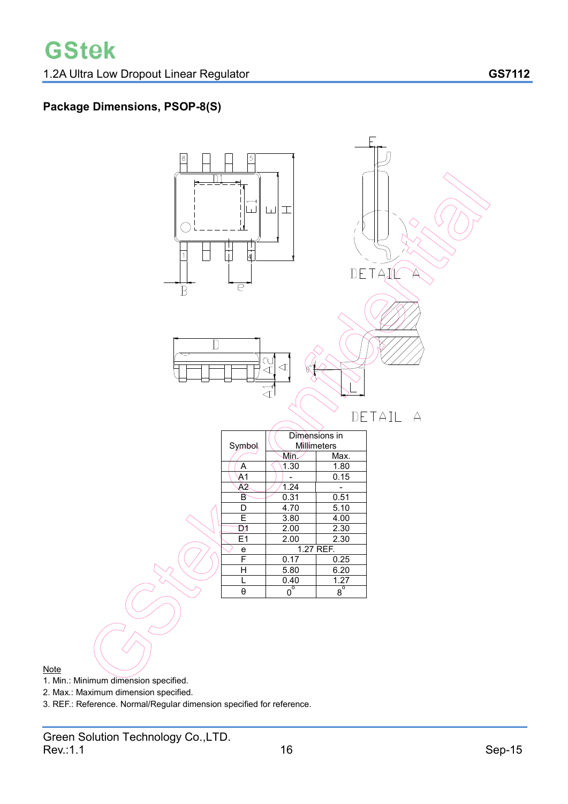# **Package Dimensions, PSOP-8(S)**



- 1. Min.: Minimum dimension specified.
- 2. Max.: Maximum dimension specified.
- 3. REF.: Reference. Normal/Regular dimension specified for reference.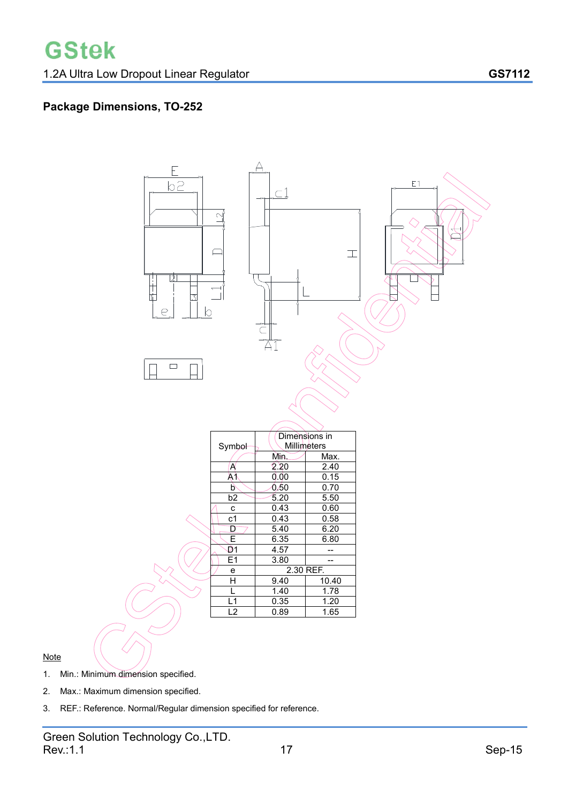## **Package Dimensions, TO-252**



- 1. Min.: Minimum dimension specified.
- 2. Max.: Maximum dimension specified.
- 3. REF.: Reference. Normal/Regular dimension specified for reference.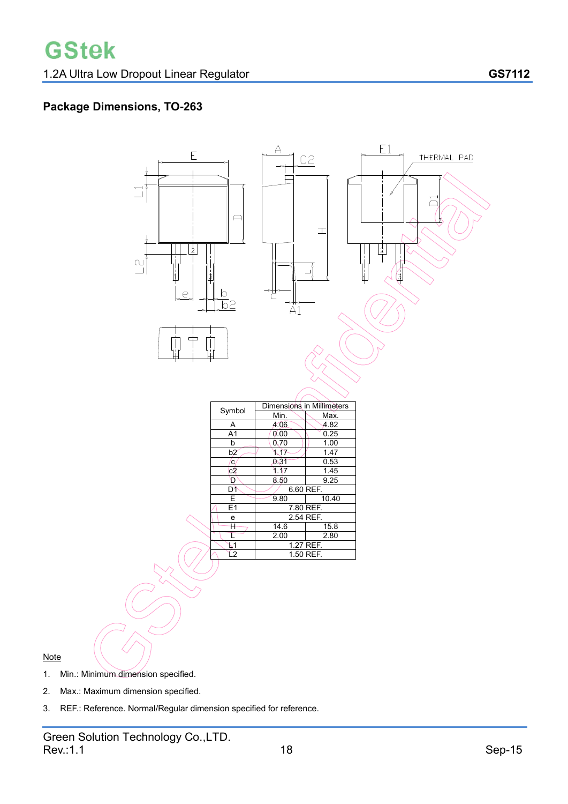## **Package Dimensions, TO-263**



- 1. Min.: Minimum dimension specified.
- 2. Max.: Maximum dimension specified.
- 3. REF.: Reference. Normal/Regular dimension specified for reference.